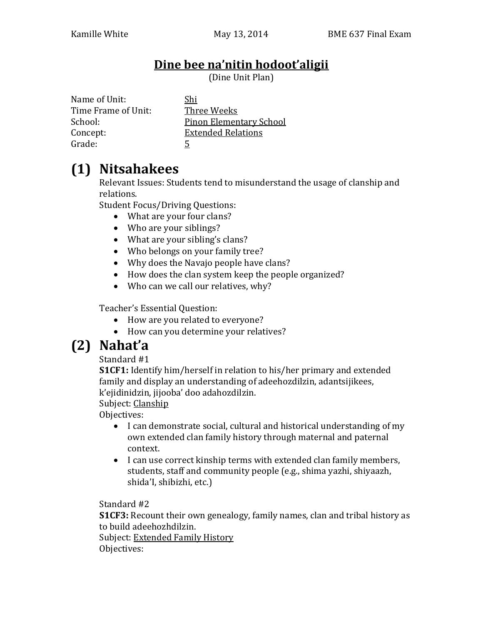#### **Dine bee na'nitin hodoot'aligii**

(Dine Unit Plan)

Name of Unit: Shi Time Frame of Unit: Three Weeks Grade: 5

School: Pinon Elementary School Concept: Extended Relations

## **(1) Nitsahakees**

Relevant Issues: Students tend to misunderstand the usage of clanship and relations.

Student Focus/Driving Questions:

- What are your four clans?
- Who are your siblings?
- What are your sibling's clans?
- Who belongs on your family tree?
- Why does the Navajo people have clans?
- How does the clan system keep the people organized?
- Who can we call our relatives, why?

Teacher's Essential Question:

- How are you related to everyone?
- How can you determine your relatives?

# **(2) Nahat'a**

Standard #1

**S1CF1:** Identify him/herself in relation to his/her primary and extended family and display an understanding of adeehozdilzin, adantsijikees, k'ejidinidzin, jijooba' doo adahozdilzin.

Subject: Clanship

Objectives:

- I can demonstrate social, cultural and historical understanding of my own extended clan family history through maternal and paternal context.
- I can use correct kinship terms with extended clan family members, students, staff and community people (e.g., shima yazhi, shiyaazh, shida'I, shibizhi, etc.)

Standard #2

**S1CF3:** Recount their own genealogy, family names, clan and tribal history as to build adeehozhdilzin.

Subject: Extended Family History Objectives: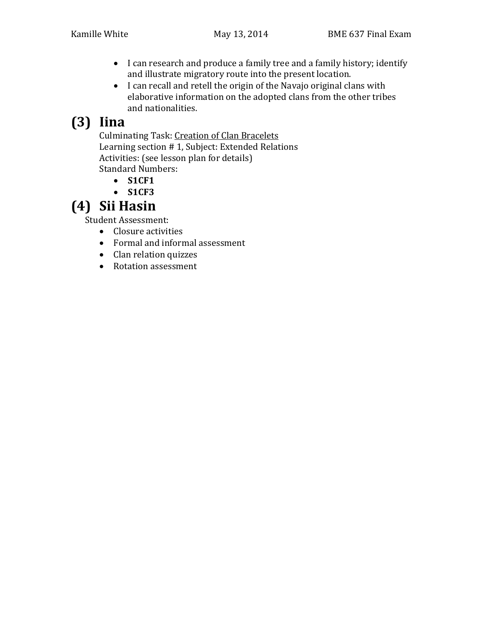- I can research and produce a family tree and a family history; identify and illustrate migratory route into the present location.
- I can recall and retell the origin of the Navajo original clans with elaborative information on the adopted clans from the other tribes and nationalities.

# **(3) Iina**

Culminating Task: Creation of Clan Bracelets Learning section # 1, Subject: Extended Relations Activities: (see lesson plan for details) Standard Numbers:

- **S1CF1**
- **S1CF3**

## **(4) Sii Hasin**

Student Assessment:

- Closure activities
- Formal and informal assessment
- Clan relation quizzes
- Rotation assessment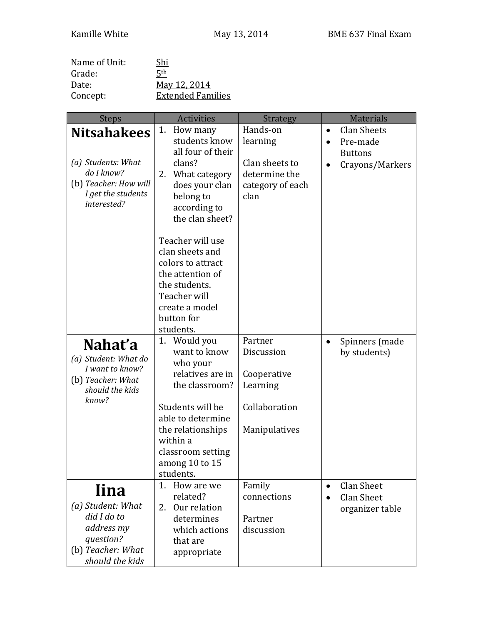| Name of Unit: | Shi                      |
|---------------|--------------------------|
| Grade:        | 5 <sup>th</sup>          |
| Date:         | May 12, 2014             |
| Concept:      | <b>Extended Families</b> |

| <b>Steps</b>                            | <b>Activities</b>         | <b>Strategy</b>       | <b>Materials</b>                |
|-----------------------------------------|---------------------------|-----------------------|---------------------------------|
| <b>Nitsahakees</b>                      | 1. How many               | Hands-on              | <b>Clan Sheets</b><br>$\bullet$ |
|                                         | students know             | learning              | Pre-made<br>$\bullet$           |
|                                         | all four of their         |                       | <b>Buttons</b>                  |
| (a) Students: What                      | clans?                    | Clan sheets to        | Crayons/Markers<br>$\bullet$    |
| do I know?                              | 2. What category          | determine the         |                                 |
| (b) Teacher: How will                   | does your clan            | category of each      |                                 |
| I get the students                      | belong to                 | clan                  |                                 |
| interested?                             | according to              |                       |                                 |
|                                         | the clan sheet?           |                       |                                 |
|                                         |                           |                       |                                 |
|                                         | Teacher will use          |                       |                                 |
|                                         | clan sheets and           |                       |                                 |
|                                         | colors to attract         |                       |                                 |
|                                         | the attention of          |                       |                                 |
|                                         | the students.             |                       |                                 |
|                                         | Teacher will              |                       |                                 |
|                                         | create a model            |                       |                                 |
|                                         | button for                |                       |                                 |
|                                         | students.                 |                       |                                 |
| Nahat'a                                 | 1. Would you              | Partner               | Spinners (made<br>$\bullet$     |
|                                         | want to know              | Discussion            | by students)                    |
| (a) Student: What do<br>I want to know? | who your                  |                       |                                 |
| (b) Teacher: What                       | relatives are in          | Cooperative           |                                 |
| should the kids                         | the classroom?            | Learning              |                                 |
| know?                                   |                           |                       |                                 |
|                                         | Students will be          | Collaboration         |                                 |
|                                         | able to determine         |                       |                                 |
|                                         | the relationships         | Manipulatives         |                                 |
|                                         | within a                  |                       |                                 |
|                                         | classroom setting         |                       |                                 |
|                                         | among 10 to 15            |                       |                                 |
|                                         | students.                 |                       |                                 |
| <b>Iina</b>                             | 1. How are we             | Family                | Clan Sheet<br>$\bullet$         |
| (a) Student: What                       | related?                  | connections           | <b>Clan Sheet</b><br>$\bullet$  |
| did I do to                             | Our relation<br>2.        |                       | organizer table                 |
| address my                              | determines                | Partner<br>discussion |                                 |
| question?                               | which actions<br>that are |                       |                                 |
| (b) Teacher: What                       |                           |                       |                                 |
| should the kids                         | appropriate               |                       |                                 |
|                                         |                           |                       |                                 |